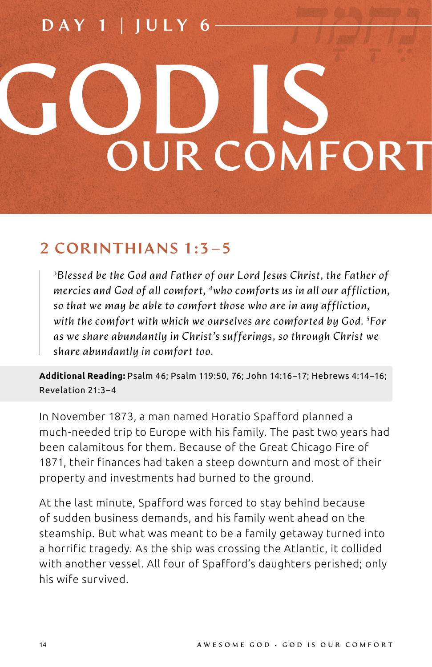# DAY 1 | JULY 6 GOD IS **OUR COMFORT**

### 2 CORINTHIANS 1:3–5

*3 Blessed be the God and Father of our Lord Jesus Christ, the Father of mercies and God of all comfort, 4who comforts us in all our affliction, so that we may be able to comfort those who are in any affliction, with the comfort with which we ourselves are comforted by God. 5 For as we share abundantly in Christ's sufferings, so through Christ we share abundantly in comfort too.*

**Additional Reading:** Psalm 46; Psalm 119:50, 76; John 14:16–17; Hebrews 4:14–16; Revelation 21:3–4

In November 1873, a man named Horatio Spafford planned a much-needed trip to Europe with his family. The past two years had been calamitous for them. Because of the Great Chicago Fire of 1871, their finances had taken a steep downturn and most of their property and investments had burned to the ground.

At the last minute, Spafford was forced to stay behind because of sudden business demands, and his family went ahead on the steamship. But what was meant to be a family getaway turned into a horrific tragedy. As the ship was crossing the Atlantic, it collided with another vessel. All four of Spafford's daughters perished; only his wife survived.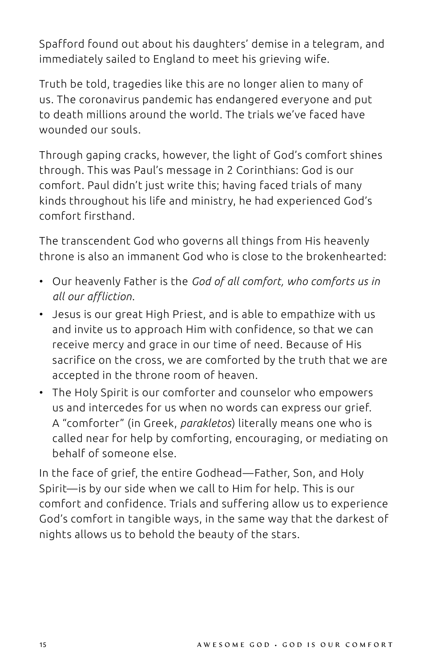Spafford found out about his daughters' demise in a telegram, and immediately sailed to England to meet his grieving wife.

Truth be told, tragedies like this are no longer alien to many of us. The coronavirus pandemic has endangered everyone and put to death millions around the world. The trials we've faced have wounded our souls.

Through gaping cracks, however, the light of God's comfort shines through. This was Paul's message in 2 Corinthians: God is our comfort. Paul didn't just write this; having faced trials of many kinds throughout his life and ministry, he had experienced God's comfort firsthand.

The transcendent God who governs all things from His heavenly throne is also an immanent God who is close to the brokenhearted:

- Our heavenly Father is the *God of all comfort, who comforts us in all our affliction*.
- Jesus is our great High Priest, and is able to empathize with us and invite us to approach Him with confidence, so that we can receive mercy and grace in our time of need. Because of His sacrifice on the cross, we are comforted by the truth that we are accepted in the throne room of heaven.
- The Holy Spirit is our comforter and counselor who empowers us and intercedes for us when no words can express our grief. A "comforter" (in Greek, *parakletos*) literally means one who is called near for help by comforting, encouraging, or mediating on behalf of someone else.

In the face of grief, the entire Godhead—Father, Son, and Holy Spirit—is by our side when we call to Him for help. This is our comfort and confidence. Trials and suffering allow us to experience God's comfort in tangible ways, in the same way that the darkest of nights allows us to behold the beauty of the stars.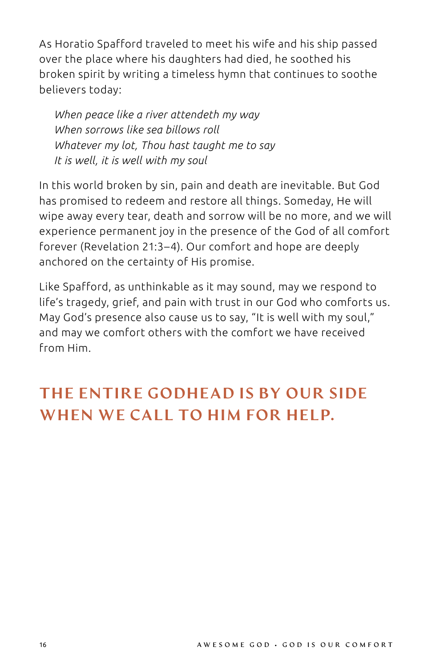As Horatio Spafford traveled to meet his wife and his ship passed over the place where his daughters had died, he soothed his broken spirit by writing a timeless hymn that continues to soothe believers today:

*When peace like a river attendeth my way When sorrows like sea billows roll Whatever my lot, Thou hast taught me to say It is well, it is well with my soul*

In this world broken by sin, pain and death are inevitable. But God has promised to redeem and restore all things. Someday, He will wipe away every tear, death and sorrow will be no more, and we will experience permanent joy in the presence of the God of all comfort forever (Revelation 21:3–4). Our comfort and hope are deeply anchored on the certainty of His promise.

Like Spafford, as unthinkable as it may sound, may we respond to life's tragedy, grief, and pain with trust in our God who comforts us. May God's presence also cause us to say, "It is well with my soul," and may we comfort others with the comfort we have received from Him.

## THE ENTIRE GODHEAD IS BY OUR SIDE WHEN WE CALL TO HIM FOR HELP.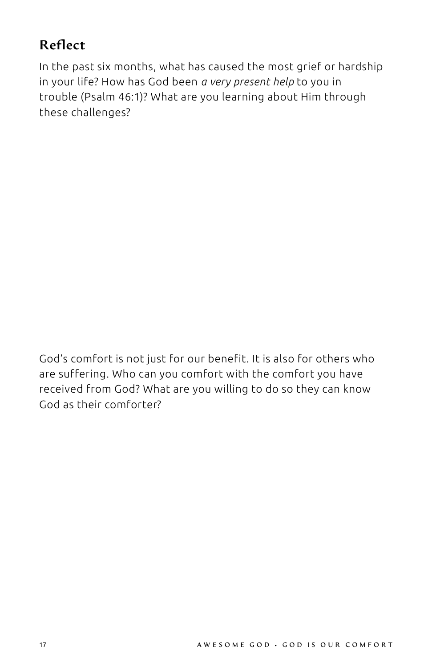#### Reflect

In the past six months, what has caused the most grief or hardship in your life? How has God been *a very present help* to you in trouble (Psalm 46:1)? What are you learning about Him through these challenges?

God's comfort is not just for our benefit. It is also for others who are suffering. Who can you comfort with the comfort you have received from God? What are you willing to do so they can know God as their comforter?